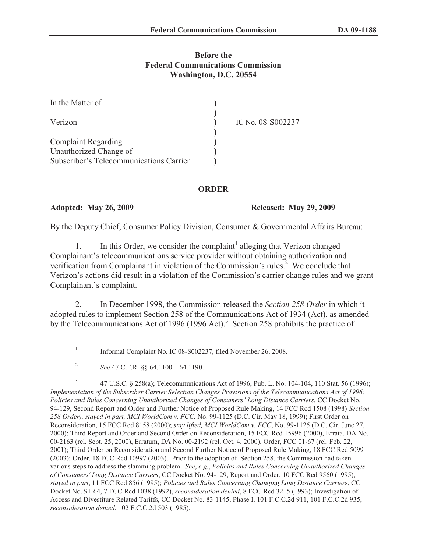## **Before the Federal Communications Commission Washington, D.C. 20554**

| In the Matter of                        |                   |
|-----------------------------------------|-------------------|
| Verizon                                 | IC No. 08-S002237 |
| <b>Complaint Regarding</b>              |                   |
| Unauthorized Change of                  |                   |
| Subscriber's Telecommunications Carrier |                   |

## **ORDER**

**Adopted: May 26, 2009 Released: May 29, 2009**

By the Deputy Chief, Consumer Policy Division, Consumer & Governmental Affairs Bureau:

1. In this Order, we consider the complaint<sup>1</sup> alleging that Verizon changed Complainant's telecommunications service provider without obtaining authorization and verification from Complainant in violation of the Commission's rules.<sup>2</sup> We conclude that Verizon's actions did result in a violation of the Commission's carrier change rules and we grant Complainant's complaint.

2. In December 1998, the Commission released the *Section 258 Order* in which it adopted rules to implement Section 258 of the Communications Act of 1934 (Act), as amended by the Telecommunications Act of 1996 (1996 Act).<sup>3</sup> Section 258 prohibits the practice of

<sup>1</sup> Informal Complaint No. IC 08-S002237, filed November 26, 2008.

<sup>2</sup> *See* 47 C.F.R. §§ 64.1100 – 64.1190.

<sup>3</sup> 47 U.S.C. § 258(a); Telecommunications Act of 1996, Pub. L. No. 104-104, 110 Stat. 56 (1996); *Implementation of the Subscriber Carrier Selection Changes Provisions of the Telecommunications Act of 1996; Policies and Rules Concerning Unauthorized Changes of Consumers' Long Distance Carriers*, CC Docket No. 94-129, Second Report and Order and Further Notice of Proposed Rule Making, 14 FCC Rcd 1508 (1998) *Section 258 Order), stayed in part, MCI WorldCom v. FCC*, No. 99-1125 (D.C. Cir. May 18, 1999); First Order on Reconsideration, 15 FCC Rcd 8158 (2000); *stay lifted, MCI WorldCom v. FCC*, No. 99-1125 (D.C. Cir. June 27, 2000); Third Report and Order and Second Order on Reconsideration, 15 FCC Rcd 15996 (2000), Errata, DA No. 00-2163 (rel. Sept. 25, 2000), Erratum, DA No. 00-2192 (rel. Oct. 4, 2000), Order, FCC 01-67 (rel. Feb. 22, 2001); Third Order on Reconsideration and Second Further Notice of Proposed Rule Making, 18 FCC Rcd 5099 (2003); Order, 18 FCC Rcd 10997 (2003). Prior to the adoption of Section 258, the Commission had taken various steps to address the slamming problem. *See*, *e.g.*, *Policies and Rules Concerning Unauthorized Changes of Consumers' Long Distance Carriers*, CC Docket No. 94-129, Report and Order, 10 FCC Rcd 9560 (1995), *stayed in part*, 11 FCC Rcd 856 (1995); *Policies and Rules Concerning Changing Long Distance Carrier*s, CC Docket No. 91-64, 7 FCC Rcd 1038 (1992), *reconsideration denied*, 8 FCC Rcd 3215 (1993); Investigation of Access and Divestiture Related Tariffs, CC Docket No. 83-1145, Phase I, 101 F.C.C.2d 911, 101 F.C.C.2d 935, *reconsideration denied*, 102 F.C.C.2d 503 (1985).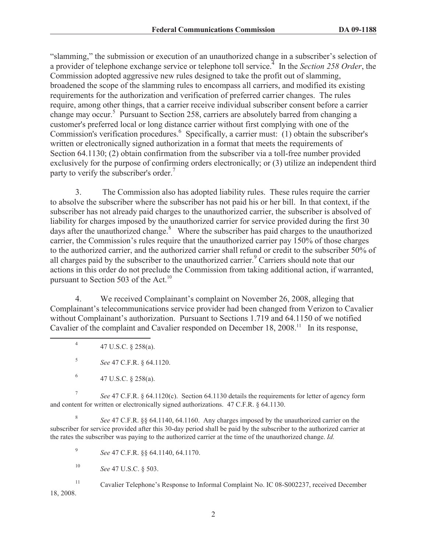"slamming," the submission or execution of an unauthorized change in a subscriber's selection of a provider of telephone exchange service or telephone toll service.<sup>4</sup> In the *Section 258 Order*, the Commission adopted aggressive new rules designed to take the profit out of slamming, broadened the scope of the slamming rules to encompass all carriers, and modified its existing requirements for the authorization and verification of preferred carrier changes. The rules require, among other things, that a carrier receive individual subscriber consent before a carrier change may occur.<sup>5</sup> Pursuant to Section 258, carriers are absolutely barred from changing a customer's preferred local or long distance carrier without first complying with one of the Commission's verification procedures.<sup>6</sup> Specifically, a carrier must: (1) obtain the subscriber's written or electronically signed authorization in a format that meets the requirements of Section 64.1130; (2) obtain confirmation from the subscriber via a toll-free number provided exclusively for the purpose of confirming orders electronically; or (3) utilize an independent third party to verify the subscriber's order.<sup>7</sup>

3. The Commission also has adopted liability rules. These rules require the carrier to absolve the subscriber where the subscriber has not paid his or her bill. In that context, if the subscriber has not already paid charges to the unauthorized carrier, the subscriber is absolved of liability for charges imposed by the unauthorized carrier for service provided during the first 30 days after the unauthorized change. $8$  Where the subscriber has paid charges to the unauthorized carrier, the Commission's rules require that the unauthorized carrier pay 150% of those charges to the authorized carrier, and the authorized carrier shall refund or credit to the subscriber 50% of all charges paid by the subscriber to the unauthorized carrier.<sup>9</sup> Carriers should note that our actions in this order do not preclude the Commission from taking additional action, if warranted, pursuant to Section 503 of the Act.<sup>10</sup>

4. We received Complainant's complaint on November 26, 2008, alleging that Complainant's telecommunications service provider had been changed from Verizon to Cavalier without Complainant's authorization. Pursuant to Sections 1.719 and 64.1150 of we notified Cavalier of the complaint and Cavalier responded on December 18, 2008.<sup>11</sup> In its response,

7 *See* 47 C.F.R. § 64.1120(c). Section 64.1130 details the requirements for letter of agency form and content for written or electronically signed authorizations. 47 C.F.R. § 64.1130.

8 *See* 47 C.F.R. §§ 64.1140, 64.1160. Any charges imposed by the unauthorized carrier on the subscriber for service provided after this 30-day period shall be paid by the subscriber to the authorized carrier at the rates the subscriber was paying to the authorized carrier at the time of the unauthorized change. *Id.*

9 *See* 47 C.F.R. §§ 64.1140, 64.1170.

<sup>10</sup> *See* 47 U.S.C. § 503.

<sup>11</sup> Cavalier Telephone's Response to Informal Complaint No. IC 08-S002237, received December 18, 2008.

<sup>4</sup> 47 U.S.C. § 258(a).

<sup>5</sup> *See* 47 C.F.R. § 64.1120.

<sup>6</sup> 47 U.S.C. § 258(a).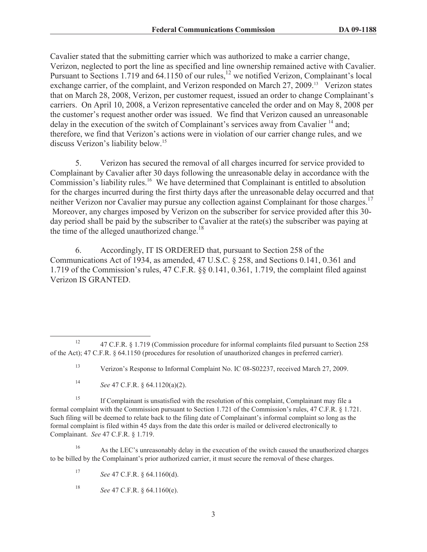Cavalier stated that the submitting carrier which was authorized to make a carrier change, Verizon, neglected to port the line as specified and line ownership remained active with Cavalier. Pursuant to Sections 1.719 and 64.1150 of our rules,<sup>12</sup> we notified Verizon, Complainant's local exchange carrier, of the complaint, and Verizon responded on March 27, 2009.<sup>13</sup> Verizon states that on March 28, 2008, Verizon, per customer request, issued an order to change Complainant's carriers. On April 10, 2008, a Verizon representative canceled the order and on May 8, 2008 per the customer's request another order was issued. We find that Verizon caused an unreasonable delay in the execution of the switch of Complainant's services away from Cavalier<sup>14</sup> and; therefore, we find that Verizon's actions were in violation of our carrier change rules, and we discuss Verizon's liability below.<sup>15</sup>

5. Verizon has secured the removal of all charges incurred for service provided to Complainant by Cavalier after 30 days following the unreasonable delay in accordance with the Commission's liability rules.<sup>16</sup> We have determined that Complainant is entitled to absolution for the charges incurred during the first thirty days after the unreasonable delay occurred and that neither Verizon nor Cavalier may pursue any collection against Complainant for those charges.<sup>17</sup> Moreover, any charges imposed by Verizon on the subscriber for service provided after this 30 day period shall be paid by the subscriber to Cavalier at the rate(s) the subscriber was paying at the time of the alleged unauthorized change. $18$ 

6. Accordingly, IT IS ORDERED that, pursuant to Section 258 of the Communications Act of 1934, as amended, 47 U.S.C. § 258, and Sections 0.141, 0.361 and 1.719 of the Commission's rules, 47 C.F.R. §§ 0.141, 0.361, 1.719, the complaint filed against Verizon IS GRANTED.

 $15$  If Complainant is unsatisfied with the resolution of this complaint, Complainant may file a formal complaint with the Commission pursuant to Section 1.721 of the Commission's rules, 47 C.F.R. § 1.721. Such filing will be deemed to relate back to the filing date of Complainant's informal complaint so long as the formal complaint is filed within 45 days from the date this order is mailed or delivered electronically to Complainant. *See* 47 C.F.R. § 1.719.

<sup>16</sup> As the LEC's unreasonably delay in the execution of the switch caused the unauthorized charges to be billed by the Complainant's prior authorized carrier, it must secure the removal of these charges.

<sup>&</sup>lt;sup>12</sup> 47 C.F.R. § 1.719 (Commission procedure for informal complaints filed pursuant to Section 258 of the Act); 47 C.F.R. § 64.1150 (procedures for resolution of unauthorized changes in preferred carrier).

<sup>13</sup> Verizon's Response to Informal Complaint No. IC 08-S02237, received March 27, 2009.

<sup>14</sup> *See* 47 C.F.R. § 64.1120(a)(2).

<sup>17</sup> *See* 47 C.F.R. § 64.1160(d).

<sup>18</sup> *See* 47 C.F.R. § 64.1160(e).